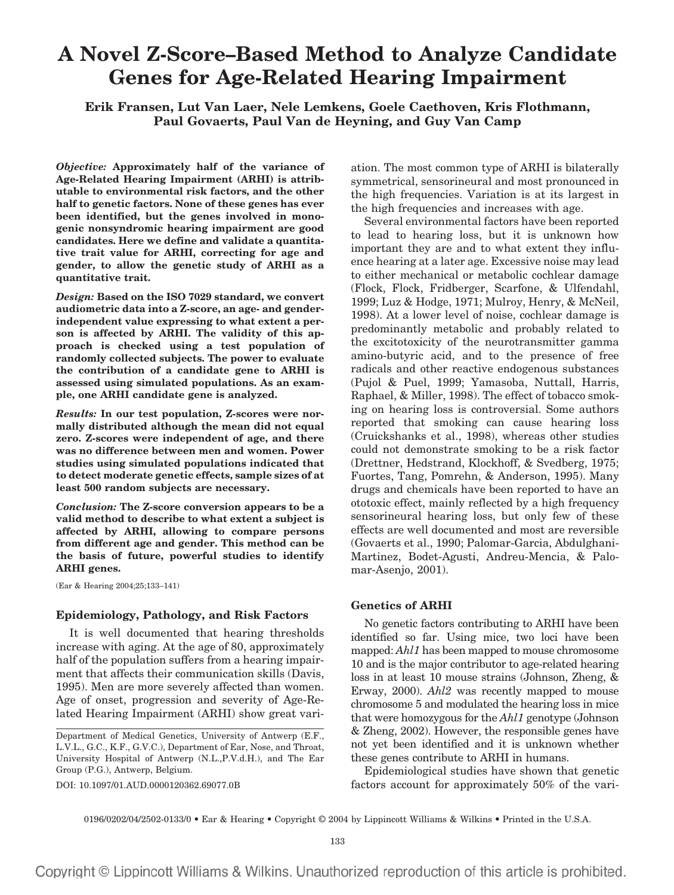# **A Novel Z-Score–Based Method to Analyze Candidate Genes for Age-Related Hearing Impairment**

**Erik Fransen, Lut Van Laer, Nele Lemkens, Goele Caethoven, Kris Flothmann, Paul Govaerts, Paul Van de Heyning, and Guy Van Camp**

*Objective:* **Approximately half of the variance of Age-Related Hearing Impairment (ARHI) is attributable to environmental risk factors, and the other half to genetic factors. None of these genes has ever been identified, but the genes involved in monogenic nonsyndromic hearing impairment are good candidates. Here we define and validate a quantitative trait value for ARHI, correcting for age and gender, to allow the genetic study of ARHI as a quantitative trait.**

*Design:* **Based on the ISO 7029 standard, we convert audiometric data into a Z-score, an age- and genderindependent value expressing to what extent a person is affected by ARHI. The validity of this approach is checked using a test population of randomly collected subjects. The power to evaluate the contribution of a candidate gene to ARHI is assessed using simulated populations. As an example, one ARHI candidate gene is analyzed.**

*Results:* **In our test population, Z-scores were normally distributed although the mean did not equal zero. Z-scores were independent of age, and there was no difference between men and women. Power studies using simulated populations indicated that to detect moderate genetic effects, sample sizes of at least 500 random subjects are necessary.**

*Conclusion:* **The Z-score conversion appears to be a valid method to describe to what extent a subject is affected by ARHI, allowing to compare persons from different age and gender. This method can be the basis of future, powerful studies to identify ARHI genes.**

(Ear & Hearing 2004;25;133–141)

## **Epidemiology, Pathology, and Risk Factors**

It is well documented that hearing thresholds increase with aging. At the age of 80, approximately half of the population suffers from a hearing impairment that affects their communication skills (Davis, 1995). Men are more severely affected than women. Age of onset, progression and severity of Age-Related Hearing Impairment (ARHI) show great vari-

DOI: 10.1097/01.AUD.0000120362.69077.0B

ation. The most common type of ARHI is bilaterally symmetrical, sensorineural and most pronounced in the high frequencies. Variation is at its largest in the high frequencies and increases with age.

Several environmental factors have been reported to lead to hearing loss, but it is unknown how important they are and to what extent they influence hearing at a later age. Excessive noise may lead to either mechanical or metabolic cochlear damage (Flock, Flock, Fridberger, Scarfone, & Ulfendahl, 1999; Luz & Hodge, 1971; Mulroy, Henry, & McNeil, 1998). At a lower level of noise, cochlear damage is predominantly metabolic and probably related to the excitotoxicity of the neurotransmitter gamma amino-butyric acid, and to the presence of free radicals and other reactive endogenous substances (Pujol & Puel, 1999; Yamasoba, Nuttall, Harris, Raphael, & Miller, 1998). The effect of tobacco smoking on hearing loss is controversial. Some authors reported that smoking can cause hearing loss (Cruickshanks et al., 1998), whereas other studies could not demonstrate smoking to be a risk factor (Drettner, Hedstrand, Klockhoff, & Svedberg, 1975; Fuortes, Tang, Pomrehn, & Anderson, 1995). Many drugs and chemicals have been reported to have an ototoxic effect, mainly reflected by a high frequency sensorineural hearing loss, but only few of these effects are well documented and most are reversible (Govaerts et al., 1990; Palomar-Garcia, Abdulghani-Martinez, Bodet-Agusti, Andreu-Mencia, & Palomar-Asenjo, 2001).

## **Genetics of ARHI**

No genetic factors contributing to ARHI have been identified so far. Using mice, two loci have been mapped: *Ahl1* has been mapped to mouse chromosome 10 and is the major contributor to age-related hearing loss in at least 10 mouse strains (Johnson, Zheng, & Erway, 2000). *Ahl2* was recently mapped to mouse chromosome 5 and modulated the hearing loss in mice that were homozygous for the *Ahl1* genotype (Johnson & Zheng, 2002). However, the responsible genes have not yet been identified and it is unknown whether these genes contribute to ARHI in humans.

Epidemiological studies have shown that genetic factors account for approximately 50% of the vari-

0196/0202/04/2502-0133/0 • Ear & Hearing • Copyright © 2004 by Lippincott Williams & Wilkins • Printed in the U.S.A.

Copyright © Lippincott Williams & Wilkins. Unauthorized reproduction of this article is prohibited.

Department of Medical Genetics, University of Antwerp (E.F., L.V.L., G.C., K.F., G.V.C.), Department of Ear, Nose, and Throat, University Hospital of Antwerp (N.L.,P.V.d.H.), and The Ear Group (P.G.), Antwerp, Belgium.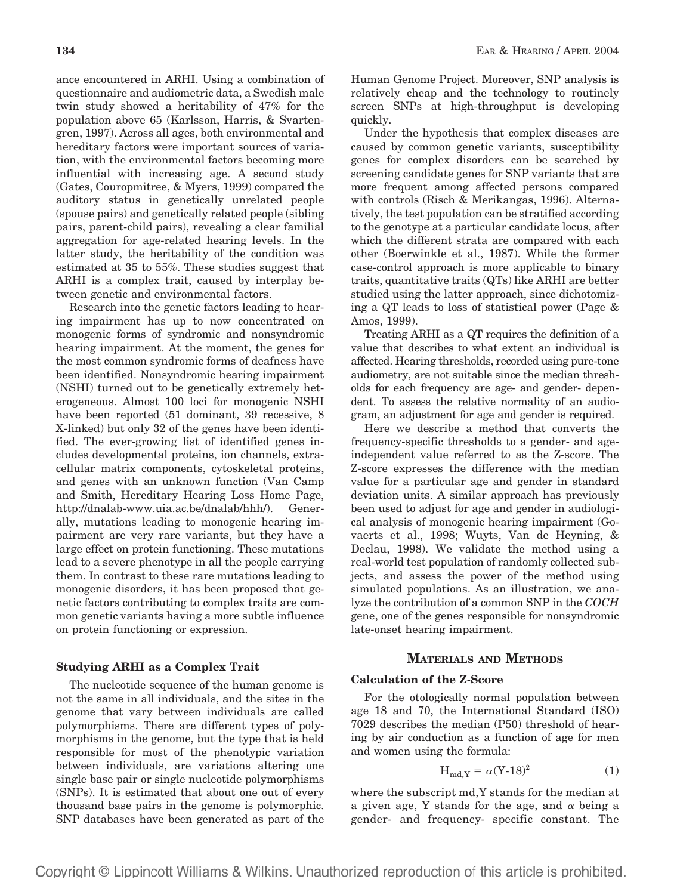ance encountered in ARHI. Using a combination of questionnaire and audiometric data, a Swedish male twin study showed a heritability of 47% for the population above 65 (Karlsson, Harris, & Svartengren, 1997). Across all ages, both environmental and hereditary factors were important sources of variation, with the environmental factors becoming more influential with increasing age. A second study (Gates, Couropmitree, & Myers, 1999) compared the auditory status in genetically unrelated people (spouse pairs) and genetically related people (sibling pairs, parent-child pairs), revealing a clear familial aggregation for age-related hearing levels. In the latter study, the heritability of the condition was estimated at 35 to 55%. These studies suggest that ARHI is a complex trait, caused by interplay between genetic and environmental factors.

Research into the genetic factors leading to hearing impairment has up to now concentrated on monogenic forms of syndromic and nonsyndromic hearing impairment. At the moment, the genes for the most common syndromic forms of deafness have been identified. Nonsyndromic hearing impairment (NSHI) turned out to be genetically extremely heterogeneous. Almost 100 loci for monogenic NSHI have been reported (51 dominant, 39 recessive, 8 X-linked) but only 32 of the genes have been identified. The ever-growing list of identified genes includes developmental proteins, ion channels, extracellular matrix components, cytoskeletal proteins, and genes with an unknown function (Van Camp and Smith, Hereditary Hearing Loss Home Page, http://dnalab-www.uia.ac.be/dnalab/hhh/). Generally, mutations leading to monogenic hearing impairment are very rare variants, but they have a large effect on protein functioning. These mutations lead to a severe phenotype in all the people carrying them. In contrast to these rare mutations leading to monogenic disorders, it has been proposed that genetic factors contributing to complex traits are common genetic variants having a more subtle influence on protein functioning or expression.

#### **Studying ARHI as a Complex Trait**

The nucleotide sequence of the human genome is not the same in all individuals, and the sites in the genome that vary between individuals are called polymorphisms. There are different types of polymorphisms in the genome, but the type that is held responsible for most of the phenotypic variation between individuals, are variations altering one single base pair or single nucleotide polymorphisms (SNPs). It is estimated that about one out of every thousand base pairs in the genome is polymorphic. SNP databases have been generated as part of the Human Genome Project. Moreover, SNP analysis is relatively cheap and the technology to routinely screen SNPs at high-throughput is developing quickly.

Under the hypothesis that complex diseases are caused by common genetic variants, susceptibility genes for complex disorders can be searched by screening candidate genes for SNP variants that are more frequent among affected persons compared with controls (Risch & Merikangas, 1996). Alternatively, the test population can be stratified according to the genotype at a particular candidate locus, after which the different strata are compared with each other (Boerwinkle et al., 1987). While the former case-control approach is more applicable to binary traits, quantitative traits (QTs) like ARHI are better studied using the latter approach, since dichotomizing a QT leads to loss of statistical power (Page & Amos, 1999).

Treating ARHI as a QT requires the definition of a value that describes to what extent an individual is affected. Hearing thresholds, recorded using pure-tone audiometry, are not suitable since the median thresholds for each frequency are age- and gender- dependent. To assess the relative normality of an audiogram, an adjustment for age and gender is required.

Here we describe a method that converts the frequency-specific thresholds to a gender- and ageindependent value referred to as the Z-score. The Z-score expresses the difference with the median value for a particular age and gender in standard deviation units. A similar approach has previously been used to adjust for age and gender in audiological analysis of monogenic hearing impairment (Govaerts et al., 1998; Wuyts, Van de Heyning, & Declau, 1998). We validate the method using a real-world test population of randomly collected subjects, and assess the power of the method using simulated populations. As an illustration, we analyze the contribution of a common SNP in the *COCH* gene, one of the genes responsible for nonsyndromic late-onset hearing impairment.

## **MATERIALS AND METHODS**

## **Calculation of the Z-Score**

For the otologically normal population between age 18 and 70, the International Standard (ISO) 7029 describes the median (P50) threshold of hearing by air conduction as a function of age for men and women using the formula:

$$
H_{\text{md},Y} = \alpha (Y-18)^2 \tag{1}
$$

where the subscript md,Y stands for the median at a given age, Y stands for the age, and  $\alpha$  being a gender- and frequency- specific constant. The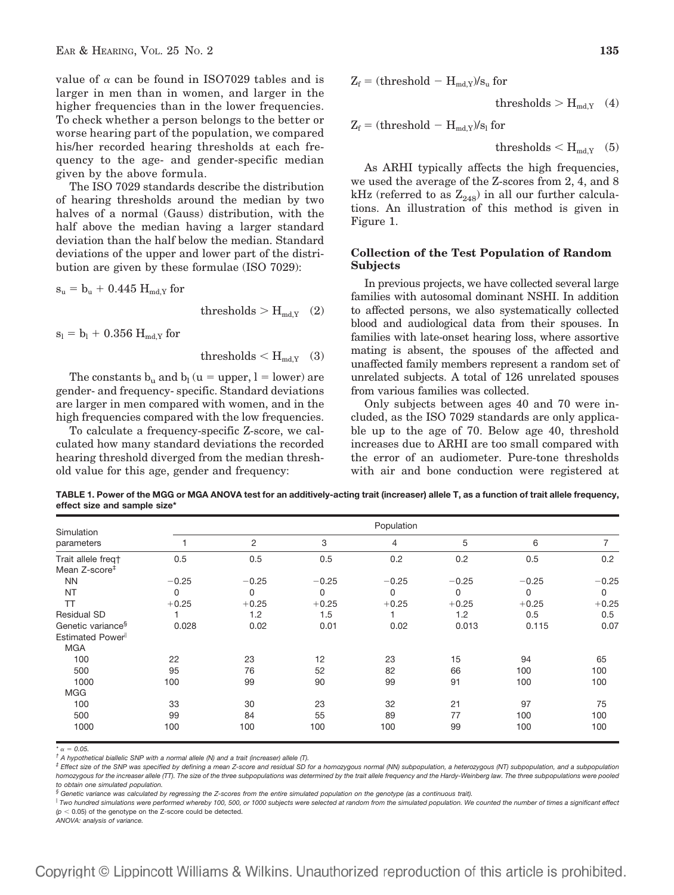value of  $\alpha$  can be found in ISO7029 tables and is larger in men than in women, and larger in the higher frequencies than in the lower frequencies. To check whether a person belongs to the better or worse hearing part of the population, we compared his/her recorded hearing thresholds at each frequency to the age- and gender-specific median given by the above formula.

The ISO 7029 standards describe the distribution of hearing thresholds around the median by two halves of a normal (Gauss) distribution, with the half above the median having a larger standard deviation than the half below the median. Standard deviations of the upper and lower part of the distribution are given by these formulae (ISO 7029):

$$
s_u = b_u + 0.445 \; H_{\text{md},Y} \; \text{for}
$$

thresholds  $>$  H<sub>md,Y</sub> (2)

 $\mathrm{s_{l}}=\mathrm{b_{l}} + 0.356\ \mathrm{H}_{\mathrm{md},\mathrm{Y}}$  for

thresholds  $\rm < H_{md, Y}$  (3)

The constants  $b_u$  and  $b_l$  (u = upper, l = lower) are gender- and frequency- specific. Standard deviations are larger in men compared with women, and in the high frequencies compared with the low frequencies.

To calculate a frequency-specific Z-score, we calculated how many standard deviations the recorded hearing threshold diverged from the median threshold value for this age, gender and frequency:

 $Z_f = (threshold - H_{\text{md},Y})/s_{\text{u}}$  for

thresholds  $>$  H<sub>md,Y</sub> (4)

 $Z_f = (threshold - H_{\text{md},Y})/s_1$  for

thresholds  $\rm < H_{md,Y}$  (5)

As ARHI typically affects the high frequencies, we used the average of the Z-scores from 2, 4, and 8 kHz (referred to as  $Z_{248}$ ) in all our further calculations. An illustration of this method is given in Figure 1.

#### **Collection of the Test Population of Random Subjects**

In previous projects, we have collected several large families with autosomal dominant NSHI. In addition to affected persons, we also systematically collected blood and audiological data from their spouses. In families with late-onset hearing loss, where assortive mating is absent, the spouses of the affected and unaffected family members represent a random set of unrelated subjects. A total of 126 unrelated spouses from various families was collected.

Only subjects between ages 40 and 70 were included, as the ISO 7029 standards are only applicable up to the age of 70. Below age 40, threshold increases due to ARHI are too small compared with the error of an audiometer. Pure-tone thresholds with air and bone conduction were registered at

**TABLE 1. Power of the MGG or MGA ANOVA test for an additively-acting trait (increaser) allele T, as a function of trait allele frequency, effect size and sample size\***

| Simulation<br>parameters                                       |         |         |         | Population |         |         |             |
|----------------------------------------------------------------|---------|---------|---------|------------|---------|---------|-------------|
|                                                                |         | 2       | 3       | 4          | 5       | 6       |             |
| Trait allele freqt<br>Mean Z-score <sup>#</sup>                | 0.5     | 0.5     | 0.5     | 0.2        | 0.2     | 0.5     | 0.2         |
| <b>NN</b>                                                      | $-0.25$ | $-0.25$ | $-0.25$ | $-0.25$    | $-0.25$ | $-0.25$ | $-0.25$     |
| <b>NT</b>                                                      | 0       | 0       | 0       | 0          | 0       | 0       | $\mathbf 0$ |
| TT                                                             | $+0.25$ | $+0.25$ | $+0.25$ | $+0.25$    | $+0.25$ | $+0.25$ | $+0.25$     |
| <b>Residual SD</b>                                             |         | 1.2     | 1.5     |            | 1.2     | 0.5     | 0.5         |
| Genetic variance <sup>§</sup><br>Estimated Power<br><b>MGA</b> | 0.028   | 0.02    | 0.01    | 0.02       | 0.013   | 0.115   | 0.07        |
| 100                                                            | 22      | 23      | 12      | 23         | 15      | 94      | 65          |
| 500                                                            | 95      | 76      | 52      | 82         | 66      | 100     | 100         |
| 1000                                                           | 100     | 99      | 90      | 99         | 91      | 100     | 100         |
| <b>MGG</b>                                                     |         |         |         |            |         |         |             |
| 100                                                            | 33      | 30      | 23      | 32         | 21      | 97      | 75          |
| 500                                                            | 99      | 84      | 55      | 89         | 77      | 100     | 100         |
| 1000                                                           | 100     | 100     | 100     | 100        | 99      | 100     | 100         |

 $x^* \alpha = 0.05$ 

*† A hypothetical biallelic SNP with a normal allele (N) and a trait (increaser) allele (T).*

*‡ Effect size of the SNP was specified by defining a mean Z-score and residual SD for a homozygous normal (NN) subpopulation, a heterozygous (NT) subpopulation, and a subpopulation homozygous for the increaser allele (TT). The size of the three subpopulations was determined by the trait allele frequency and the Hardy-Weinberg law. The three subpopulations were pooled to obtain one simulated population.*

*§ Genetic variance was calculated by regressing the Z-scores from the entire simulated population on the genotype (as a continuous trait).*

 *Two hundred simulations were performed whereby 100, 500, or 1000 subjects were selected at random from the simulated population. We counted the number of times a significant effect*  $(p < 0.05)$  of the genotype on the Z-score could be detected.

*ANOVA: analysis of variance.*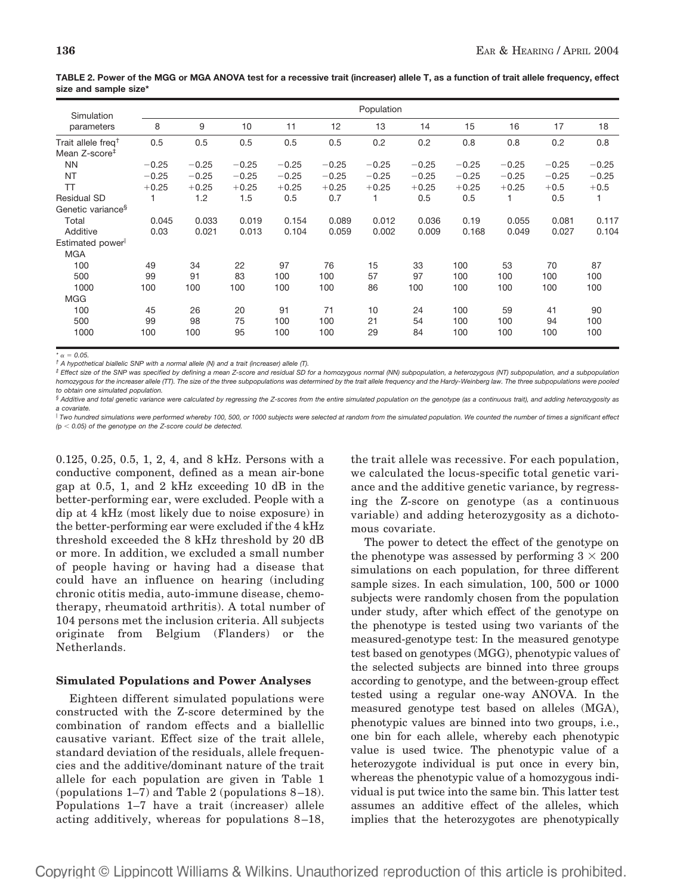| Simulation                     | Population |         |         |         |         |         |         |         |         |         |         |
|--------------------------------|------------|---------|---------|---------|---------|---------|---------|---------|---------|---------|---------|
| parameters                     | 8          | 9       | 10      | 11      | 12      | 13      | 14      | 15      | 16      | 17      | 18      |
| Trait allele freq <sup>T</sup> | 0.5        | 0.5     | 0.5     | 0.5     | 0.5     | 0.2     | 0.2     | 0.8     | 0.8     | 0.2     | 0.8     |
| Mean Z-score <sup>#</sup>      |            |         |         |         |         |         |         |         |         |         |         |
| <b>NN</b>                      | $-0.25$    | $-0.25$ | $-0.25$ | $-0.25$ | $-0.25$ | $-0.25$ | $-0.25$ | $-0.25$ | $-0.25$ | $-0.25$ | $-0.25$ |
| <b>NT</b>                      | $-0.25$    | $-0.25$ | $-0.25$ | $-0.25$ | $-0.25$ | $-0.25$ | $-0.25$ | $-0.25$ | $-0.25$ | $-0.25$ | $-0.25$ |
| <b>TT</b>                      | $+0.25$    | $+0.25$ | $+0.25$ | $+0.25$ | $+0.25$ | $+0.25$ | $+0.25$ | $+0.25$ | $+0.25$ | $+0.5$  | $+0.5$  |
| <b>Residual SD</b>             |            | 1.2     | 1.5     | 0.5     | 0.7     |         | 0.5     | 0.5     |         | 0.5     |         |
| Genetic variance <sup>§</sup>  |            |         |         |         |         |         |         |         |         |         |         |
| Total                          | 0.045      | 0.033   | 0.019   | 0.154   | 0.089   | 0.012   | 0.036   | 0.19    | 0.055   | 0.081   | 0.117   |
| Additive                       | 0.03       | 0.021   | 0.013   | 0.104   | 0.059   | 0.002   | 0.009   | 0.168   | 0.049   | 0.027   | 0.104   |
| Estimated power                |            |         |         |         |         |         |         |         |         |         |         |
| <b>MGA</b>                     |            |         |         |         |         |         |         |         |         |         |         |
| 100                            | 49         | 34      | 22      | 97      | 76      | 15      | 33      | 100     | 53      | 70      | 87      |
| 500                            | 99         | 91      | 83      | 100     | 100     | 57      | 97      | 100     | 100     | 100     | 100     |
| 1000                           | 100        | 100     | 100     | 100     | 100     | 86      | 100     | 100     | 100     | 100     | 100     |
| <b>MGG</b>                     |            |         |         |         |         |         |         |         |         |         |         |
| 100                            | 45         | 26      | 20      | 91      | 71      | 10      | 24      | 100     | 59      | 41      | 90      |
| 500                            | 99         | 98      | 75      | 100     | 100     | 21      | 54      | 100     | 100     | 94      | 100     |
| 1000                           | 100        | 100     | 95      | 100     | 100     | 29      | 84      | 100     | 100     | 100     | 100     |

**TABLE 2. Power of the MGG or MGA ANOVA test for a recessive trait (increaser) allele T, as a function of trait allele frequency, effect size and sample size\***

 $\alpha = 0.05$ .

*† A hypothetical biallelic SNP with a normal allele (N) and a trait (increaser) allele (T).*

*‡ Effect size of the SNP was specified by defining a mean Z-score and residual SD for a homozygous normal (NN) subpopulation, a heterozygous (NT) subpopulation, and a subpopulation homozygous for the increaser allele (TT). The size of the three subpopulations was determined by the trait allele frequency and the Hardy-Weinberg law. The three subpopulations were pooled to obtain one simulated population.*

*§ Additive and total genetic variance were calculated by regressing the Z-scores from the entire simulated population on the genotype (as a continuous trait), and adding heterozygosity as a covariate.*

 *Two hundred simulations were performed whereby 100, 500, or 1000 subjects were selected at random from the simulated population. We counted the number of times a significant effect*  $(p < 0.05)$  of the genotype on the Z-score could be detected.

0.125, 0.25, 0.5, 1, 2, 4, and 8 kHz. Persons with a conductive component, defined as a mean air-bone gap at 0.5, 1, and 2 kHz exceeding 10 dB in the better-performing ear, were excluded. People with a dip at 4 kHz (most likely due to noise exposure) in the better-performing ear were excluded if the 4 kHz threshold exceeded the 8 kHz threshold by 20 dB or more. In addition, we excluded a small number of people having or having had a disease that could have an influence on hearing (including chronic otitis media, auto-immune disease, chemotherapy, rheumatoid arthritis). A total number of 104 persons met the inclusion criteria. All subjects originate from Belgium (Flanders) or the Netherlands.

# **Simulated Populations and Power Analyses**

Eighteen different simulated populations were constructed with the Z-score determined by the combination of random effects and a biallellic causative variant. Effect size of the trait allele, standard deviation of the residuals, allele frequencies and the additive/dominant nature of the trait allele for each population are given in Table 1 (populations 1–7) and Table 2 (populations 8–18). Populations 1–7 have a trait (increaser) allele acting additively, whereas for populations 8–18,

the trait allele was recessive. For each population, we calculated the locus-specific total genetic variance and the additive genetic variance, by regressing the Z-score on genotype (as a continuous variable) and adding heterozygosity as a dichotomous covariate.

The power to detect the effect of the genotype on the phenotype was assessed by performing  $3 \times 200$ simulations on each population, for three different sample sizes. In each simulation, 100, 500 or 1000 subjects were randomly chosen from the population under study, after which effect of the genotype on the phenotype is tested using two variants of the measured-genotype test: In the measured genotype test based on genotypes (MGG), phenotypic values of the selected subjects are binned into three groups according to genotype, and the between-group effect tested using a regular one-way ANOVA. In the measured genotype test based on alleles (MGA), phenotypic values are binned into two groups, i.e., one bin for each allele, whereby each phenotypic value is used twice. The phenotypic value of a heterozygote individual is put once in every bin, whereas the phenotypic value of a homozygous individual is put twice into the same bin. This latter test assumes an additive effect of the alleles, which implies that the heterozygotes are phenotypically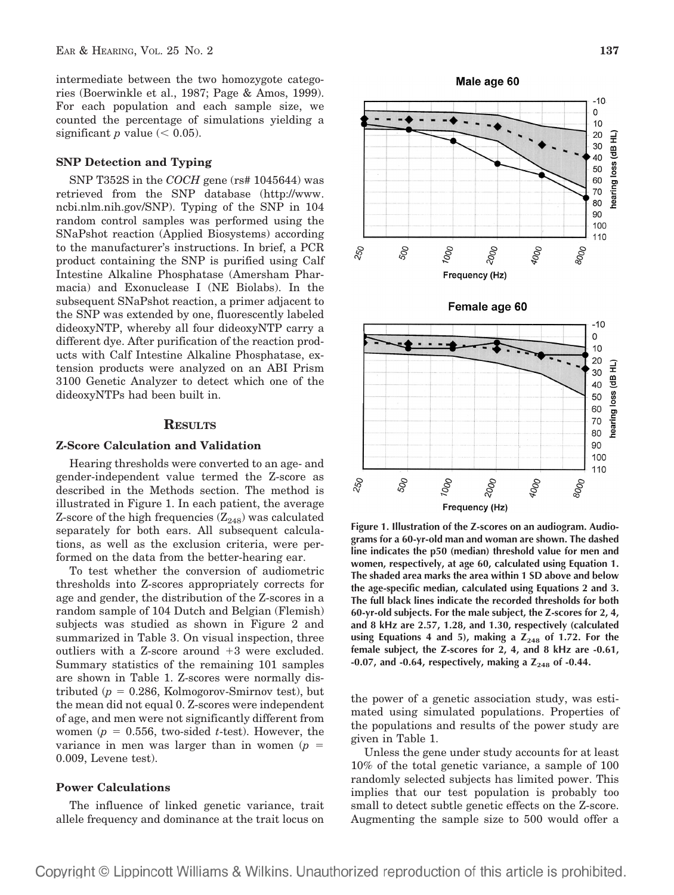intermediate between the two homozygote categories (Boerwinkle et al., 1987; Page & Amos, 1999). For each population and each sample size, we counted the percentage of simulations yielding a significant *p* value  $(< 0.05)$ .

#### **SNP Detection and Typing**

SNP T352S in the *COCH* gene (rs# 1045644) was retrieved from the SNP database (http://www. ncbi.nlm.nih.gov/SNP). Typing of the SNP in 104 random control samples was performed using the SNaPshot reaction (Applied Biosystems) according to the manufacturer's instructions. In brief, a PCR product containing the SNP is purified using Calf Intestine Alkaline Phosphatase (Amersham Pharmacia) and Exonuclease I (NE Biolabs). In the subsequent SNaPshot reaction, a primer adjacent to the SNP was extended by one, fluorescently labeled dideoxyNTP, whereby all four dideoxyNTP carry a different dye. After purification of the reaction products with Calf Intestine Alkaline Phosphatase, extension products were analyzed on an ABI Prism 3100 Genetic Analyzer to detect which one of the dideoxyNTPs had been built in.

# **RESULTS**

# **Z-Score Calculation and Validation**

Hearing thresholds were converted to an age- and gender-independent value termed the Z-score as described in the Methods section. The method is illustrated in Figure 1. In each patient, the average Z-score of the high frequencies  $(Z_{248})$  was calculated separately for both ears. All subsequent calculations, as well as the exclusion criteria, were performed on the data from the better-hearing ear.

To test whether the conversion of audiometric thresholds into Z-scores appropriately corrects for age and gender, the distribution of the Z-scores in a random sample of 104 Dutch and Belgian (Flemish) subjects was studied as shown in Figure 2 and summarized in Table 3. On visual inspection, three outliers with a  $Z$ -score around  $+3$  were excluded. Summary statistics of the remaining 101 samples are shown in Table 1. Z-scores were normally distributed ( $p = 0.286$ , Kolmogorov-Smirnov test), but the mean did not equal 0. Z-scores were independent of age, and men were not significantly different from women ( $p = 0.556$ , two-sided *t*-test). However, the variance in men was larger than in women  $(p =$ 0.009, Levene test).

#### **Power Calculations**

The influence of linked genetic variance, trait allele frequency and dominance at the trait locus on



**Figure 1. Illustration of the Z-scores on an audiogram. Audiograms for a 60-yr-old man and woman are shown. The dashed line indicates the p50 (median) threshold value for men and women, respectively, at age 60, calculated using Equation 1. The shaded area marks the area within 1 SD above and below the age-specific median, calculated using Equations 2 and 3. The full black lines indicate the recorded thresholds for both 60-yr-old subjects. For the male subject, the Z-scores for 2, 4, and 8 kHz are 2.57, 1.28, and 1.30, respectively (calculated** using Equations 4 and 5), making a  $Z_{248}$  of 1.72. For the **female subject, the Z-scores for 2, 4, and 8 kHz are -0.61,**  $-0.07$ , and  $-0.64$ , respectively, making a  $Z_{248}$  of  $-0.44$ .

the power of a genetic association study, was estimated using simulated populations. Properties of the populations and results of the power study are given in Table 1.

Unless the gene under study accounts for at least 10% of the total genetic variance, a sample of 100 randomly selected subjects has limited power. This implies that our test population is probably too small to detect subtle genetic effects on the Z-score. Augmenting the sample size to 500 would offer a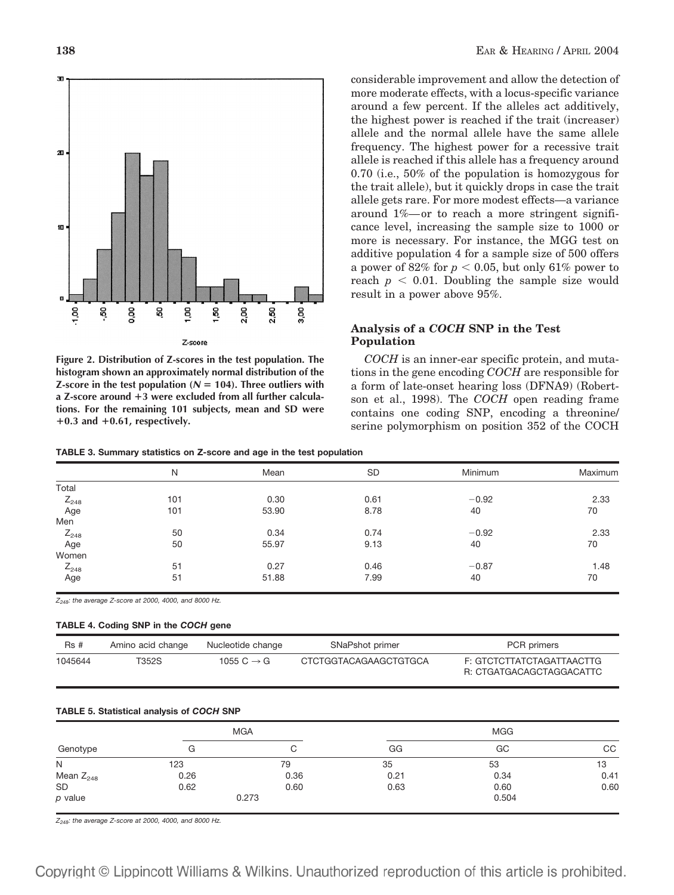

**Figure 2. Distribution of Z-scores in the test population. The histogram shown an approximately normal distribution of the Z-score in the test population (** $N = 104$ **). Three outliers with** a Z-score around +3 were excluded from all further calcula**tions. For the remaining 101 subjects, mean and SD were** +0.3 and +0.61, respectively.

| TABLE 3. Summary statistics on Z-score and age in the test population |  |
|-----------------------------------------------------------------------|--|
|-----------------------------------------------------------------------|--|

considerable improvement and allow the detection of more moderate effects, with a locus-specific variance around a few percent. If the alleles act additively, the highest power is reached if the trait (increaser) allele and the normal allele have the same allele frequency. The highest power for a recessive trait allele is reached if this allele has a frequency around 0.70 (i.e., 50% of the population is homozygous for the trait allele), but it quickly drops in case the trait allele gets rare. For more modest effects—a variance around 1%—or to reach a more stringent significance level, increasing the sample size to 1000 or more is necessary. For instance, the MGG test on additive population 4 for a sample size of 500 offers a power of 82% for  $p < 0.05$ , but only 61% power to reach  $p < 0.01$ . Doubling the sample size would result in a power above 95%.

# **Analysis of a** *COCH* **SNP in the Test Population**

*COCH* is an inner-ear specific protein, and mutations in the gene encoding *COCH* are responsible for a form of late-onset hearing loss (DFNA9) (Robertson et al., 1998). The *COCH* open reading frame contains one coding SNP, encoding a threonine/ serine polymorphism on position 352 of the COCH

|                  | N   | Mean  | <b>SD</b> | Minimum | Maximum |
|------------------|-----|-------|-----------|---------|---------|
| Total            |     |       |           |         |         |
|                  | 101 | 0.30  | 0.61      | $-0.92$ | 2.33    |
| $Z_{248}$<br>Age | 101 | 53.90 | 8.78      | 40      | 70      |
| Men              |     |       |           |         |         |
|                  | 50  | 0.34  | 0.74      | $-0.92$ | 2.33    |
| $Z_{248}$<br>Age | 50  | 55.97 | 9.13      | 40      | 70      |
| Women            |     |       |           |         |         |
|                  | 51  | 0.27  | 0.46      | $-0.87$ | 1.48    |
| $Z_{248}$ Age    | 51  | 51.88 | 7.99      | 40      | 70      |

*Z248: the average Z-score at 2000, 4000, and 8000 Hz.*

# **TABLE 4. Coding SNP in the** *COCH* **gene**

| Rs#     | Amino acid change | Nucleotide change      | SNaPshot primer       | <b>PCR</b> primers                                    |
|---------|-------------------|------------------------|-----------------------|-------------------------------------------------------|
| 1045644 | T352S             | 1055 $C \rightarrow G$ | CTCTGGTACAGAAGCTGTGCA | F: GTCTCTTATCTAGATTAACTTG<br>R: CTGATGACAGCTAGGACATTC |

# **TABLE 5. Statistical analysis of** *COCH* **SNP**

|      |      | <b>MGG</b>          |       |      |  |  |
|------|------|---------------------|-------|------|--|--|
| G    | ◡    | GG                  | GC    | CC   |  |  |
| 123  | 79   | 35                  | 53    | 13   |  |  |
| 0.26 | 0.36 | 0.21                | 0.34  | 0.41 |  |  |
| 0.62 | 0.60 | 0.63                | 0.60  | 0.60 |  |  |
|      |      |                     | 0.504 |      |  |  |
|      |      | <b>MGA</b><br>0.273 |       |      |  |  |

*Z248: the average Z-score at 2000, 4000, and 8000 Hz.*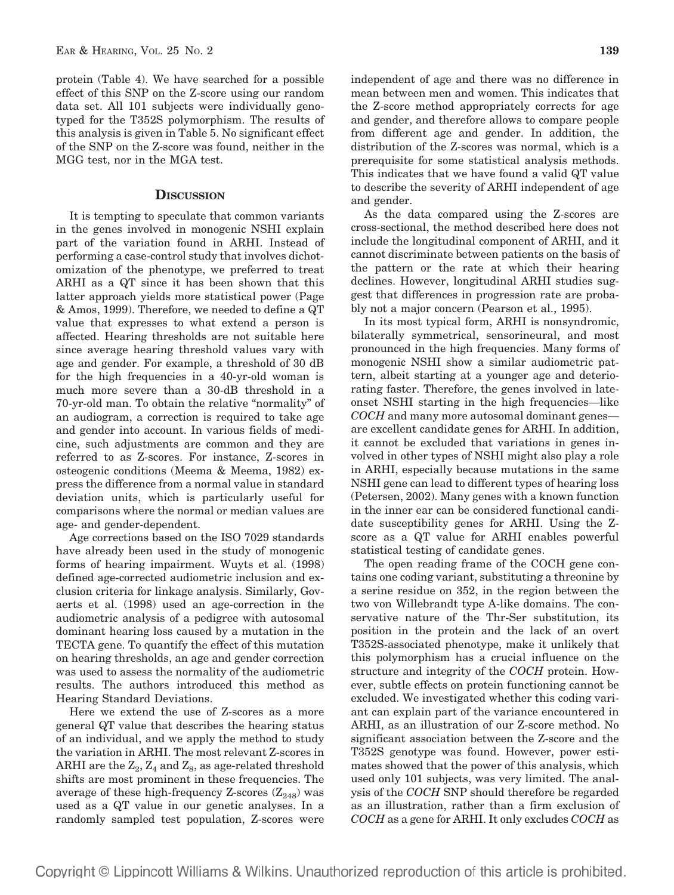protein (Table 4). We have searched for a possible effect of this SNP on the Z-score using our random data set. All 101 subjects were individually genotyped for the T352S polymorphism. The results of this analysis is given in Table 5. No significant effect of the SNP on the Z-score was found, neither in the MGG test, nor in the MGA test.

# **DISCUSSION**

It is tempting to speculate that common variants in the genes involved in monogenic NSHI explain part of the variation found in ARHI. Instead of performing a case-control study that involves dichotomization of the phenotype, we preferred to treat ARHI as a QT since it has been shown that this latter approach yields more statistical power (Page & Amos, 1999). Therefore, we needed to define a QT value that expresses to what extend a person is affected. Hearing thresholds are not suitable here since average hearing threshold values vary with age and gender. For example, a threshold of 30 dB for the high frequencies in a 40-yr-old woman is much more severe than a 30-dB threshold in a 70-yr-old man. To obtain the relative "normality" of an audiogram, a correction is required to take age and gender into account. In various fields of medicine, such adjustments are common and they are referred to as Z-scores. For instance, Z-scores in osteogenic conditions (Meema & Meema, 1982) express the difference from a normal value in standard deviation units, which is particularly useful for comparisons where the normal or median values are age- and gender-dependent.

Age corrections based on the ISO 7029 standards have already been used in the study of monogenic forms of hearing impairment. Wuyts et al. (1998) defined age-corrected audiometric inclusion and exclusion criteria for linkage analysis. Similarly, Govaerts et al. (1998) used an age-correction in the audiometric analysis of a pedigree with autosomal dominant hearing loss caused by a mutation in the TECTA gene. To quantify the effect of this mutation on hearing thresholds, an age and gender correction was used to assess the normality of the audiometric results. The authors introduced this method as Hearing Standard Deviations.

Here we extend the use of Z-scores as a more general QT value that describes the hearing status of an individual, and we apply the method to study the variation in ARHI. The most relevant Z-scores in ARHI are the  $Z_2$ ,  $Z_4$  and  $Z_8$ , as age-related threshold shifts are most prominent in these frequencies. The average of these high-frequency Z-scores  $(Z_{248})$  was used as a QT value in our genetic analyses. In a randomly sampled test population, Z-scores were independent of age and there was no difference in mean between men and women. This indicates that the Z-score method appropriately corrects for age and gender, and therefore allows to compare people from different age and gender. In addition, the distribution of the Z-scores was normal, which is a prerequisite for some statistical analysis methods. This indicates that we have found a valid QT value to describe the severity of ARHI independent of age and gender.

As the data compared using the Z-scores are cross-sectional, the method described here does not include the longitudinal component of ARHI, and it cannot discriminate between patients on the basis of the pattern or the rate at which their hearing declines. However, longitudinal ARHI studies suggest that differences in progression rate are probably not a major concern (Pearson et al., 1995).

In its most typical form, ARHI is nonsyndromic, bilaterally symmetrical, sensorineural, and most pronounced in the high frequencies. Many forms of monogenic NSHI show a similar audiometric pattern, albeit starting at a younger age and deteriorating faster. Therefore, the genes involved in lateonset NSHI starting in the high frequencies—like *COCH* and many more autosomal dominant genes are excellent candidate genes for ARHI. In addition, it cannot be excluded that variations in genes involved in other types of NSHI might also play a role in ARHI, especially because mutations in the same NSHI gene can lead to different types of hearing loss (Petersen, 2002). Many genes with a known function in the inner ear can be considered functional candidate susceptibility genes for ARHI. Using the Zscore as a QT value for ARHI enables powerful statistical testing of candidate genes.

The open reading frame of the COCH gene contains one coding variant, substituting a threonine by a serine residue on 352, in the region between the two von Willebrandt type A-like domains. The conservative nature of the Thr-Ser substitution, its position in the protein and the lack of an overt T352S-associated phenotype, make it unlikely that this polymorphism has a crucial influence on the structure and integrity of the *COCH* protein. However, subtle effects on protein functioning cannot be excluded. We investigated whether this coding variant can explain part of the variance encountered in ARHI, as an illustration of our Z-score method. No significant association between the Z-score and the T352S genotype was found. However, power estimates showed that the power of this analysis, which used only 101 subjects, was very limited. The analysis of the *COCH* SNP should therefore be regarded as an illustration, rather than a firm exclusion of *COCH* as a gene for ARHI. It only excludes *COCH* as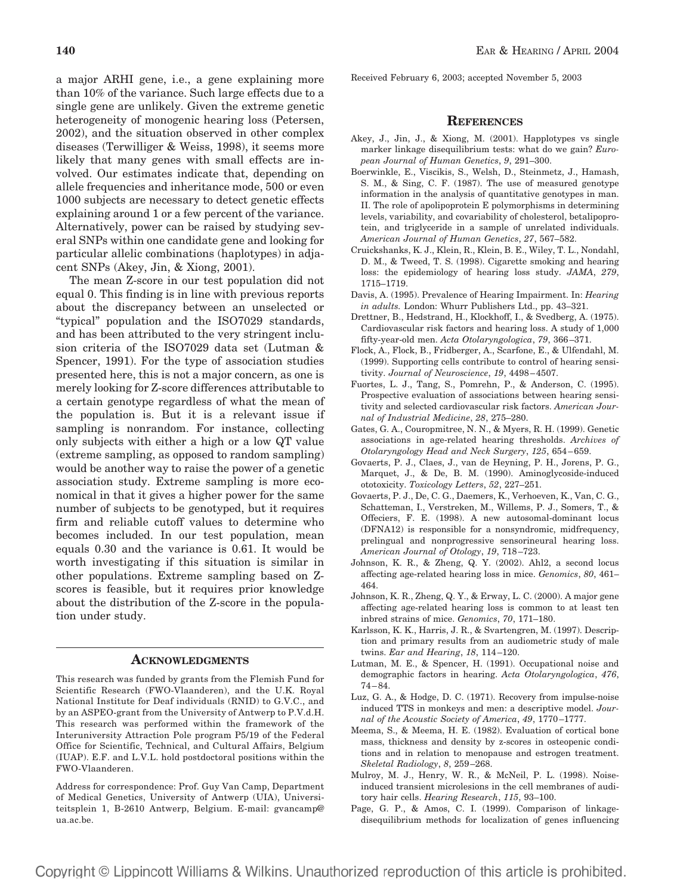a major ARHI gene, i.e., a gene explaining more than 10% of the variance. Such large effects due to a single gene are unlikely. Given the extreme genetic heterogeneity of monogenic hearing loss (Petersen, 2002), and the situation observed in other complex diseases (Terwilliger & Weiss, 1998), it seems more likely that many genes with small effects are involved. Our estimates indicate that, depending on allele frequencies and inheritance mode, 500 or even 1000 subjects are necessary to detect genetic effects explaining around 1 or a few percent of the variance. Alternatively, power can be raised by studying several SNPs within one candidate gene and looking for particular allelic combinations (haplotypes) in adjacent SNPs (Akey, Jin, & Xiong, 2001).

The mean Z-score in our test population did not equal 0. This finding is in line with previous reports about the discrepancy between an unselected or "typical" population and the ISO7029 standards, and has been attributed to the very stringent inclusion criteria of the ISO7029 data set (Lutman & Spencer, 1991). For the type of association studies presented here, this is not a major concern, as one is merely looking for Z-score differences attributable to a certain genotype regardless of what the mean of the population is. But it is a relevant issue if sampling is nonrandom. For instance, collecting only subjects with either a high or a low QT value (extreme sampling, as opposed to random sampling) would be another way to raise the power of a genetic association study. Extreme sampling is more economical in that it gives a higher power for the same number of subjects to be genotyped, but it requires firm and reliable cutoff values to determine who becomes included. In our test population, mean equals 0.30 and the variance is 0.61. It would be worth investigating if this situation is similar in other populations. Extreme sampling based on Zscores is feasible, but it requires prior knowledge about the distribution of the Z-score in the population under study.

#### **ACKNOWLEDGMENTS**

This research was funded by grants from the Flemish Fund for Scientific Research (FWO-Vlaanderen), and the U.K. Royal National Institute for Deaf individuals (RNID) to G.V.C., and by an ASPEO-grant from the University of Antwerp to P.V.d.H. This research was performed within the framework of the Interuniversity Attraction Pole program P5/19 of the Federal Office for Scientific, Technical, and Cultural Affairs, Belgium (IUAP). E.F. and L.V.L. hold postdoctoral positions within the FWO-Vlaanderen.

Address for correspondence: Prof. Guy Van Camp, Department of Medical Genetics, University of Antwerp (UIA), Universiteitsplein 1, B-2610 Antwerp, Belgium. E-mail: gvancamp@ ua.ac.be.

Received February 6, 2003; accepted November 5, 2003

#### **REFERENCES**

- Akey, J., Jin, J., & Xiong, M. (2001). Happlotypes vs single marker linkage disequilibrium tests: what do we gain? *European Journal of Human Genetics*, *9*, 291–300.
- Boerwinkle, E., Viscikis, S., Welsh, D., Steinmetz, J., Hamash, S. M., & Sing, C. F. (1987). The use of measured genotype information in the analysis of quantitative genotypes in man. II. The role of apolipoprotein E polymorphisms in determining levels, variability, and covariability of cholesterol, betalipoprotein, and triglyceride in a sample of unrelated individuals. *American Journal of Human Genetics*, *27*, 567–582.
- Cruickshanks, K. J., Klein, R., Klein, B. E., Wiley, T. L., Nondahl, D. M., & Tweed, T. S. (1998). Cigarette smoking and hearing loss: the epidemiology of hearing loss study. *JAMA*, *279*, 1715–1719.
- Davis, A. (1995). Prevalence of Hearing Impairment. In: *Hearing in adults.* London: Whurr Publishers Ltd., pp. 43–321.
- Drettner, B., Hedstrand, H., Klockhoff, I., & Svedberg, A. (1975). Cardiovascular risk factors and hearing loss. A study of 1,000 fifty-year-old men. *Acta Otolaryngologica*, *79*, 366–371.
- Flock, A., Flock, B., Fridberger, A., Scarfone, E., & Ulfendahl, M. (1999). Supporting cells contribute to control of hearing sensitivity. *Journal of Neuroscience*, *19*, 4498–4507.
- Fuortes, L. J., Tang, S., Pomrehn, P., & Anderson, C. (1995). Prospective evaluation of associations between hearing sensitivity and selected cardiovascular risk factors. *American Journal of Industrial Medicine*, *28*, 275–280.
- Gates, G. A., Couropmitree, N. N., & Myers, R. H. (1999). Genetic associations in age-related hearing thresholds. *Archives of Otolaryngology Head and Neck Surgery*, *125*, 654–659.
- Govaerts, P. J., Claes, J., van de Heyning, P. H., Jorens, P. G., Marquet, J., & De, B. M. (1990). Aminoglycoside-induced ototoxicity. *Toxicology Letters*, *52*, 227–251.
- Govaerts, P. J., De, C. G., Daemers, K., Verhoeven, K., Van, C. G., Schatteman, I., Verstreken, M., Willems, P. J., Somers, T., & Offeciers, F. E. (1998). A new autosomal-dominant locus (DFNA12) is responsible for a nonsyndromic, midfrequency, prelingual and nonprogressive sensorineural hearing loss. *American Journal of Otology*, *19*, 718–723.
- Johnson, K. R., & Zheng, Q. Y. (2002). Ahl2, a second locus affecting age-related hearing loss in mice. *Genomics*, *80*, 461– 464.
- Johnson, K. R., Zheng, Q. Y., & Erway, L. C. (2000). A major gene affecting age-related hearing loss is common to at least ten inbred strains of mice. *Genomics*, *70*, 171–180.
- Karlsson, K. K., Harris, J. R., & Svartengren, M. (1997). Description and primary results from an audiometric study of male twins. *Ear and Hearing*, *18*, 114–120.
- Lutman, M. E., & Spencer, H. (1991). Occupational noise and demographic factors in hearing. *Acta Otolaryngologica*, *476*, 74–84.
- Luz, G. A., & Hodge, D. C. (1971). Recovery from impulse-noise induced TTS in monkeys and men: a descriptive model. *Journal of the Acoustic Society of America*, *49*, 1770–1777.
- Meema, S., & Meema, H. E. (1982). Evaluation of cortical bone mass, thickness and density by z-scores in osteopenic conditions and in relation to menopause and estrogen treatment. *Skeletal Radiology*, *8*, 259–268.
- Mulroy, M. J., Henry, W. R., & McNeil, P. L. (1998). Noiseinduced transient microlesions in the cell membranes of auditory hair cells. *Hearing Research*, *115*, 93–100.
- Page, G. P., & Amos, C. I. (1999). Comparison of linkagedisequilibrium methods for localization of genes influencing